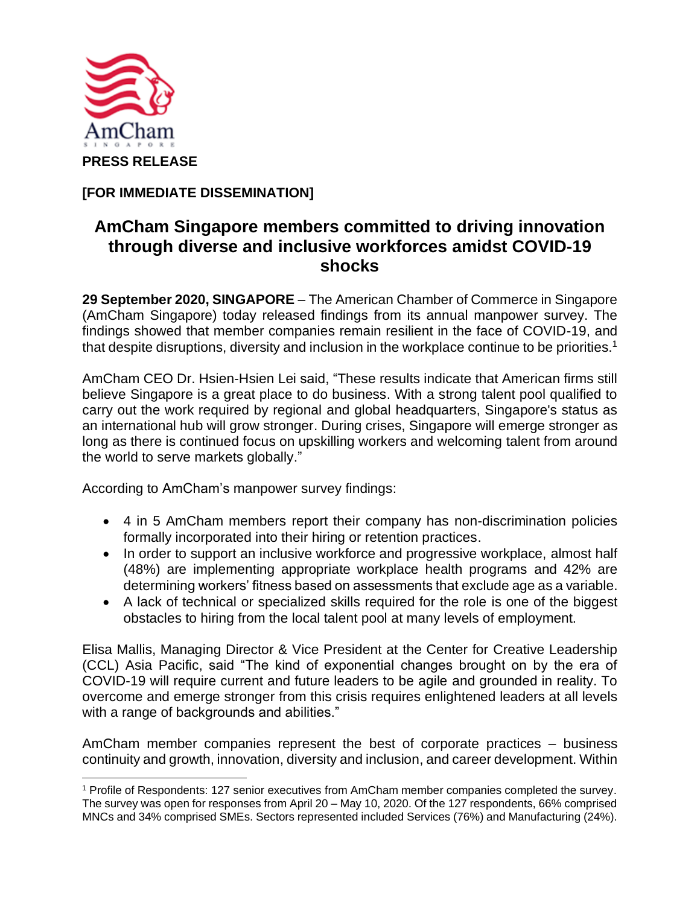

**[FOR IMMEDIATE DISSEMINATION]**

## **AmCham Singapore members committed to driving innovation through diverse and inclusive workforces amidst COVID-19 shocks**

**29 September 2020, SINGAPORE** – The American Chamber of Commerce in Singapore (AmCham Singapore) today released findings from its annual manpower survey. The findings showed that member companies remain resilient in the face of COVID-19, and that despite disruptions, diversity and inclusion in the workplace continue to be priorities.<sup>1</sup>

AmCham CEO Dr. Hsien-Hsien Lei said, "These results indicate that American firms still believe Singapore is a great place to do business. With a strong talent pool qualified to carry out the work required by regional and global headquarters, Singapore's status as an international hub will grow stronger. During crises, Singapore will emerge stronger as long as there is continued focus on upskilling workers and welcoming talent from around the world to serve markets globally."

According to AmCham's manpower survey findings:

- 4 in 5 AmCham members report their company has non-discrimination policies formally incorporated into their hiring or retention practices.
- In order to support an inclusive workforce and progressive workplace, almost half (48%) are implementing appropriate workplace health programs and 42% are determining workers' fitness based on assessments that exclude age as a variable.
- A lack of technical or specialized skills required for the role is one of the biggest obstacles to hiring from the local talent pool at many levels of employment.

Elisa Mallis, Managing Director & Vice President at the Center for Creative Leadership (CCL) Asia Pacific, said "The kind of exponential changes brought on by the era of COVID-19 will require current and future leaders to be agile and grounded in reality. To overcome and emerge stronger from this crisis requires enlightened leaders at all levels with a range of backgrounds and abilities."

AmCham member companies represent the best of corporate practices – business continuity and growth, innovation, diversity and inclusion, and career development. Within

<sup>1</sup> Profile of Respondents: 127 senior executives from AmCham member companies completed the survey. The survey was open for responses from April 20 – May 10, 2020. Of the 127 respondents, 66% comprised MNCs and 34% comprised SMEs. Sectors represented included Services (76%) and Manufacturing (24%).